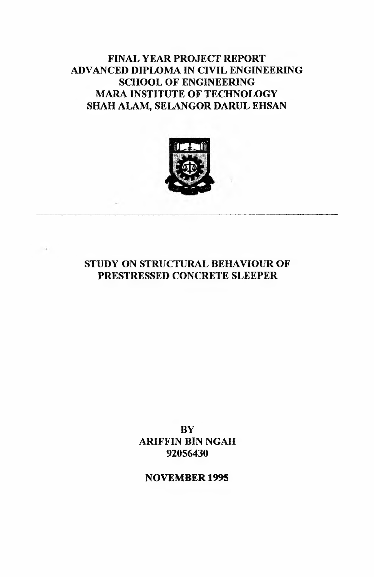## **FINAL YEAR PROJECT REPORT ADVANCED DIPLOMA IN CIVIL ENGINEERING SCHOOL OF ENGINEERING MARA INSTITUTE OF TECHNOLOGY SHAH ALAM, SELANGOR DARUL EHSAN**



**STUDY ON STRUCTURAL BEHAVIOUR OF PRESTRESSED CONCRETE SLEEPER**

> **BY ARIFFIN BIN NGAH 92056430**

**NOVEMBER 1995**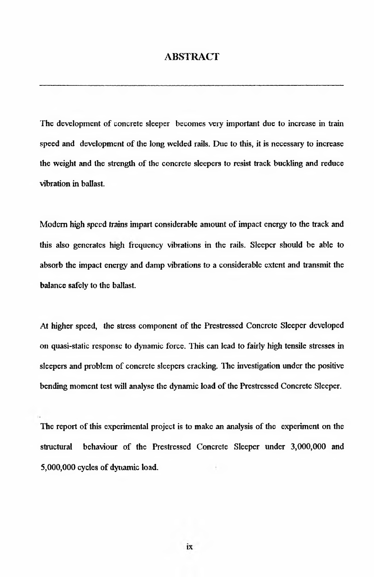### <span id="page-1-0"></span>**ABSTRACT**

The development of concrete sleeper becomes very important due to increase in train speed and development of the long welded rails. Due to this, it is necessary to increase the weight and the strength of the concrete sleepers to resist track buckling and reduce vibration in ballast.

Modem high speed trains impart considerable amount of impact energy to the track and this also generates high frequency vibrations in the rails. Sleeper should be able to absorb the impact energy and damp vibrations to a considerable extent and transmit the balance safely to the ballast.

At higher speed, the stress component of the Prestressed Concrete Sleeper developed on quasi-static response to dynamic force. This can lead to fairly high tensile stresses in sleepers and problem of concrete sleepers cracking. The investigation under the positive bending moment test will analyse the dynamic load of the Prestressed Concrete Sleeper.

The report of this experimental project is to make an analysis of the experiment on the structural behaviour of the Prestressed Concrete Sleeper under 3,000,000 and 5,000,000 cycles of dynamic load.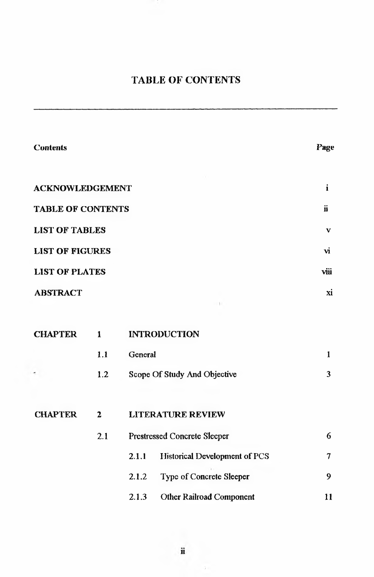# <span id="page-2-0"></span>**TABLE OF CONTENTS**

| <b>Contents</b>          |                |                     |                                      | Page         |
|--------------------------|----------------|---------------------|--------------------------------------|--------------|
| <b>ACKNOWLEDGEMENT</b>   |                |                     |                                      | $\mathbf{i}$ |
| <b>TABLE OF CONTENTS</b> |                |                     |                                      |              |
| <b>LIST OF TABLES</b>    |                |                     |                                      |              |
| <b>LIST OF FIGURES</b>   |                |                     |                                      | vi           |
| <b>LIST OF PLATES</b>    | viii           |                     |                                      |              |
| <b>ABSTRACT</b>          | xi             |                     |                                      |              |
|                          |                |                     |                                      |              |
| <b>CHAPTER</b>           | $\mathbf{1}$   | <b>INTRODUCTION</b> |                                      |              |
|                          | 1.1            | General             |                                      | $\mathbf{1}$ |
|                          | 1.2            |                     | Scope Of Study And Objective         | 3            |
|                          |                |                     |                                      |              |
| <b>CHAPTER</b>           | $\overline{2}$ |                     | <b>LITERATURE REVIEW</b>             |              |
|                          | 2.1            |                     | Prestressed Concrete Sleeper         | 6            |
|                          |                | 2.1.1               | <b>Historical Development of PCS</b> | $\tau$       |
|                          |                | 2.1.2               | Type of Concrete Sleeper             | 9            |
|                          |                | 2.1.3               | <b>Other Railroad Component</b>      | 11           |

Ù.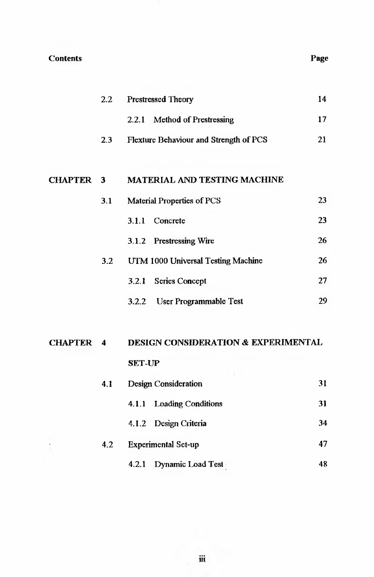### Contents Page

|                  | 2.2 | <b>Prestressed Theory</b>                      |    |  |
|------------------|-----|------------------------------------------------|----|--|
|                  |     | 2.2.1 Method of Prestressing                   | 17 |  |
|                  | 2.3 | Flexture Behaviour and Strength of PCS         | 21 |  |
|                  |     |                                                |    |  |
| <b>CHAPTER 3</b> |     | <b>MATERIAL AND TESTING MACHINE</b>            |    |  |
|                  | 3.1 | <b>Material Properties of PCS</b>              | 23 |  |
|                  |     | 3.1.1 Concrete                                 | 23 |  |
|                  |     | 3.1.2 Prestressing Wire                        | 26 |  |
|                  | 3.2 | UTM 1000 Universal Testing Machine             | 26 |  |
|                  |     | <b>Series Concept</b><br>3.2.1                 | 27 |  |
|                  |     | User Programmable Test<br>3.2.2                | 29 |  |
|                  |     |                                                |    |  |
| <b>CHAPTER 4</b> |     | <b>DESIGN CONSIDERATION &amp; EXPERIMENTAL</b> |    |  |
|                  |     | <b>SET-UP</b>                                  |    |  |
|                  | 4.1 | <b>Design Consideration</b>                    | 31 |  |
|                  |     | <b>Loading Conditions</b><br>4.1.1             | 31 |  |
|                  |     | Design Criteria<br>4.1.2                       | 34 |  |
|                  | 4.2 | <b>Experimental Sct-up</b>                     | 47 |  |
|                  |     | Dynamic Load Test<br>4.2.1                     | 48 |  |